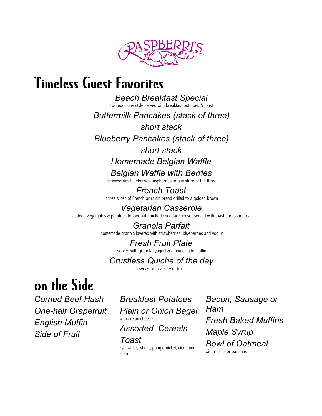

## Timeless Guest Favorites

*Beach Breakfast Special* two eggs any style served with breakfast potatoes & toast

*Buttermilk Pancakes (stack of three)*

*short stack*

*Blueberry Pancakes (stack of three)*

#### *short stack*

*Homemade Belgian Waffle*

*Belgian Waffle with Berries* strawberries,blueberries,raspberries,or a mixture of the three

*French Toast* three slices of French or raisin bread grilled to a golden brown

*Vegetarian Casserole* sautéed vegetables & potatoes topped with melted cheddar cheese. Served with toast and sour cream

> *Granola Parfait* homemade granola layered with strawberries, blueberries and yogurt

## *Fresh Fruit Plate*

served with granola, yogurt & a homemade muffin

## *Crustless Quiche of the day*

served with a side of fruit

# on the Side

*Assorted Cereals Side of Fruit Maple Syrup*

*Corned Beef Hash Breakfast Potatoes Bacon, Sausage or One-half Grapefruit Plain or Onion Bagel Ham*

#### *Toast*

rye, white, wheat, pumpernickel, cinnamon raisin

with cream cheese *English Muffin Fresh Baked Muffins Bowl of Oatmeal* with raisins or bananas